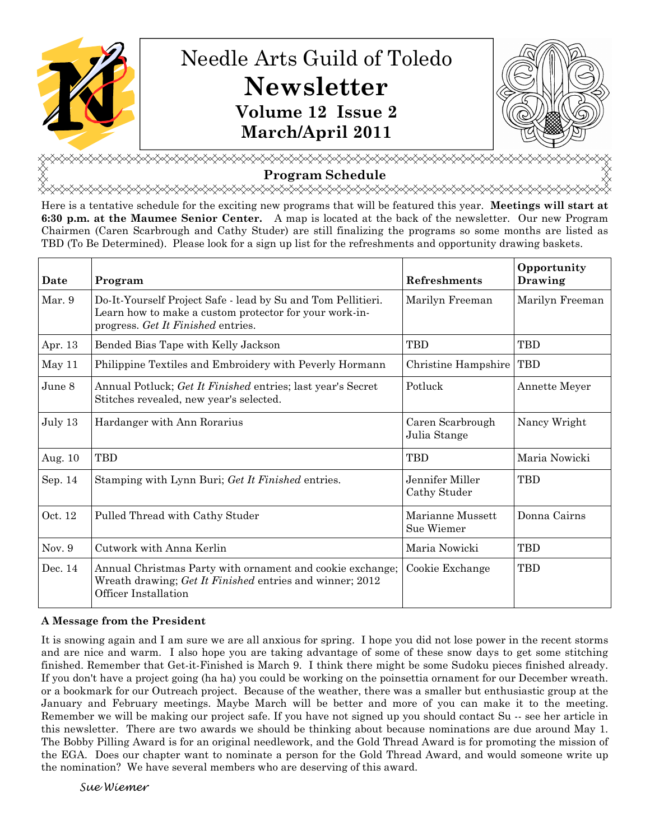

# Needle Arts Guild of Toledo Newsletter Volume 12 Issue 2 March/April 2011



<u></u> Program Schedule

<del></del>

Here is a tentative schedule for the exciting new programs that will be featured this year. Meetings will start at 6:30 p.m. at the Maumee Senior Center. A map is located at the back of the newsletter. Our new Program Chairmen (Caren Scarbrough and Cathy Studer) are still finalizing the programs so some months are listed as TBD (To Be Determined). Please look for a sign up list for the refreshments and opportunity drawing baskets.

| Date    | Program                                                                                                                                                      | Refreshments                     | Opportunity<br>Drawing |
|---------|--------------------------------------------------------------------------------------------------------------------------------------------------------------|----------------------------------|------------------------|
| Mar. 9  | Do-It-Yourself Project Safe - lead by Su and Tom Pellitieri.<br>Learn how to make a custom protector for your work-in-<br>progress. Get It Finished entries. | Marilyn Freeman                  | Marilyn Freeman        |
| Apr. 13 | Bended Bias Tape with Kelly Jackson                                                                                                                          | <b>TBD</b>                       | <b>TBD</b>             |
| May 11  | Philippine Textiles and Embroidery with Peverly Hormann                                                                                                      | Christine Hampshire              | <b>TBD</b>             |
| June 8  | Annual Potluck; Get It Finished entries; last year's Secret<br>Stitches revealed, new year's selected.                                                       | Potluck                          | Annette Meyer          |
| July 13 | Hardanger with Ann Rorarius                                                                                                                                  | Caren Scarbrough<br>Julia Stange | Nancy Wright           |
| Aug. 10 | <b>TBD</b>                                                                                                                                                   | <b>TBD</b>                       | Maria Nowicki          |
| Sep. 14 | Stamping with Lynn Buri; Get It Finished entries.                                                                                                            | Jennifer Miller<br>Cathy Studer  | <b>TBD</b>             |
| Oct. 12 | Pulled Thread with Cathy Studer                                                                                                                              | Marianne Mussett<br>Sue Wiemer   | Donna Cairns           |
| Nov. 9  | Cutwork with Anna Kerlin                                                                                                                                     | Maria Nowicki                    | <b>TBD</b>             |
| Dec. 14 | Annual Christmas Party with ornament and cookie exchange;<br>Wreath drawing; Get It Finished entries and winner; 2012<br>Officer Installation                | Cookie Exchange                  | <b>TBD</b>             |

## A Message from the President

It is snowing again and I am sure we are all anxious for spring. I hope you did not lose power in the recent storms and are nice and warm. I also hope you are taking advantage of some of these snow days to get some stitching finished. Remember that Get-it-Finished is March 9. I think there might be some Sudoku pieces finished already. If you don't have a project going (ha ha) you could be working on the poinsettia ornament for our December wreath. or a bookmark for our Outreach project. Because of the weather, there was a smaller but enthusiastic group at the January and February meetings. Maybe March will be better and more of you can make it to the meeting. Remember we will be making our project safe. If you have not signed up you should contact Su -- see her article in this newsletter. There are two awards we should be thinking about because nominations are due around May 1. The Bobby Pilling Award is for an original needlework, and the Gold Thread Award is for promoting the mission of the EGA. Does our chapter want to nominate a person for the Gold Thread Award, and would someone write up the nomination? We have several members who are deserving of this award.

Sue Wiemer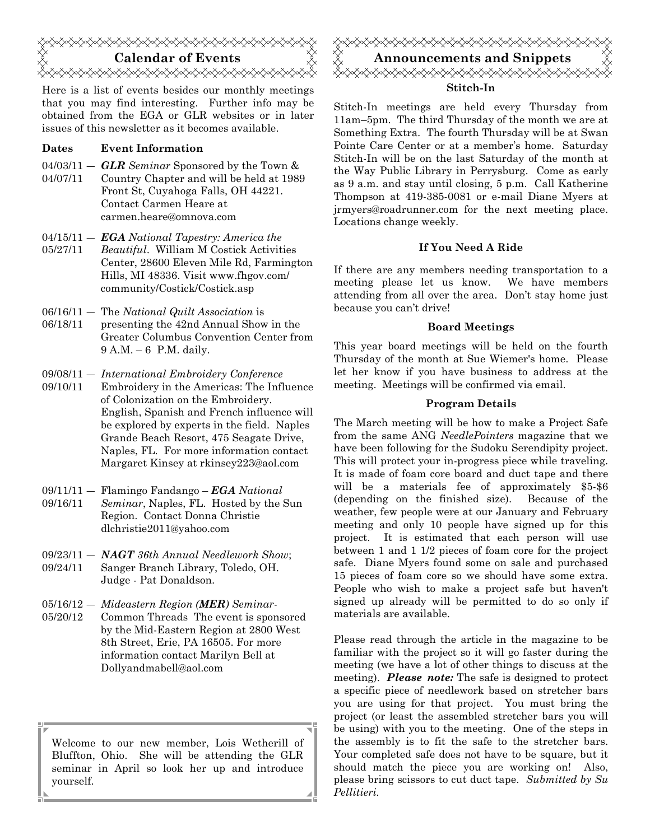

Here is a list of events besides our monthly meetings that you may find interesting. Further info may be obtained from the EGA or GLR websites or in later issues of this newsletter as it becomes available.

#### Dates Event Information

- $04/03/11 GLR$  Seminar Sponsored by the Town &
- 04/07/11 Country Chapter and will be held at 1989 Front St, Cuyahoga Falls, OH 44221. Contact Carmen Heare at carmen.heare@omnova.com
- $04/15/11 EGA National Tangstry: America the$ 05/27/11 Beautiful. William M Costick Activities Center, 28600 Eleven Mile Rd, Farmington Hills, MI 48336. Visit www.fhgov.com/ community/Costick/Costick.asp
- 06/16/11 The National Quilt Association is
- 06/18/11 presenting the 42nd Annual Show in the Greater Columbus Convention Center from 9 A.M. – 6 P.M. daily.
- 09/08/11 ― International Embroidery Conference
- 09/10/11 Embroidery in the Americas: The Influence of Colonization on the Embroidery. English, Spanish and French influence will be explored by experts in the field. Naples Grande Beach Resort, 475 Seagate Drive, Naples, FL. For more information contact Margaret Kinsey at rkinsey223@aol.com
- $09/11/11 -$  Flamingo Fandango EGA National
- 09/16/11 Seminar, Naples, FL. Hosted by the Sun Region. Contact Donna Christie dlchristie2011@yahoo.com
- $09/23/11 NAGT$  36th Annual Needlework Show; 09/24/11 Sanger Branch Library, Toledo, OH.
	- Judge Pat Donaldson.
- 05/16/12 Mideastern Region (MER) Seminar-
- 05/20/12 Common Threads The event is sponsored by the Mid-Eastern Region at 2800 West 8th Street, Erie, PA 16505. For more information contact Marilyn Bell at Dollyandmabell@aol.com

Welcome to our new member, Lois Wetherill of Bluffton, Ohio. She will be attending the GLR seminar in April so look her up and introduce yourself.



Stitch-In meetings are held every Thursday from 11am–5pm. The third Thursday of the month we are at Something Extra. The fourth Thursday will be at Swan Pointe Care Center or at a member's home. Saturday Stitch-In will be on the last Saturday of the month at the Way Public Library in Perrysburg. Come as early as 9 a.m. and stay until closing, 5 p.m. Call Katherine Thompson at 419-385-0081 or e-mail Diane Myers at jrmyers@roadrunner.com for the next meeting place. Locations change weekly.

#### If You Need A Ride

If there are any members needing transportation to a meeting please let us know. We have members attending from all over the area. Don't stay home just because you can't drive!

#### Board Meetings

This year board meetings will be held on the fourth Thursday of the month at Sue Wiemer's home. Please let her know if you have business to address at the meeting. Meetings will be confirmed via email.

#### Program Details

The March meeting will be how to make a Project Safe from the same ANG *NeedlePointers* magazine that we have been following for the Sudoku Serendipity project. This will protect your in-progress piece while traveling. It is made of foam core board and duct tape and there will be a materials fee of approximately \$5-\$6 (depending on the finished size). Because of the weather, few people were at our January and February meeting and only 10 people have signed up for this project. It is estimated that each person will use between 1 and 1 1/2 pieces of foam core for the project safe. Diane Myers found some on sale and purchased 15 pieces of foam core so we should have some extra. People who wish to make a project safe but haven't signed up already will be permitted to do so only if materials are available.

Please read through the article in the magazine to be familiar with the project so it will go faster during the meeting (we have a lot of other things to discuss at the meeting). **Please note:** The safe is designed to protect a specific piece of needlework based on stretcher bars you are using for that project. You must bring the project (or least the assembled stretcher bars you will be using) with you to the meeting. One of the steps in the assembly is to fit the safe to the stretcher bars. Your completed safe does not have to be square, but it should match the piece you are working on! Also, please bring scissors to cut duct tape. Submitted by Su Pellitieri.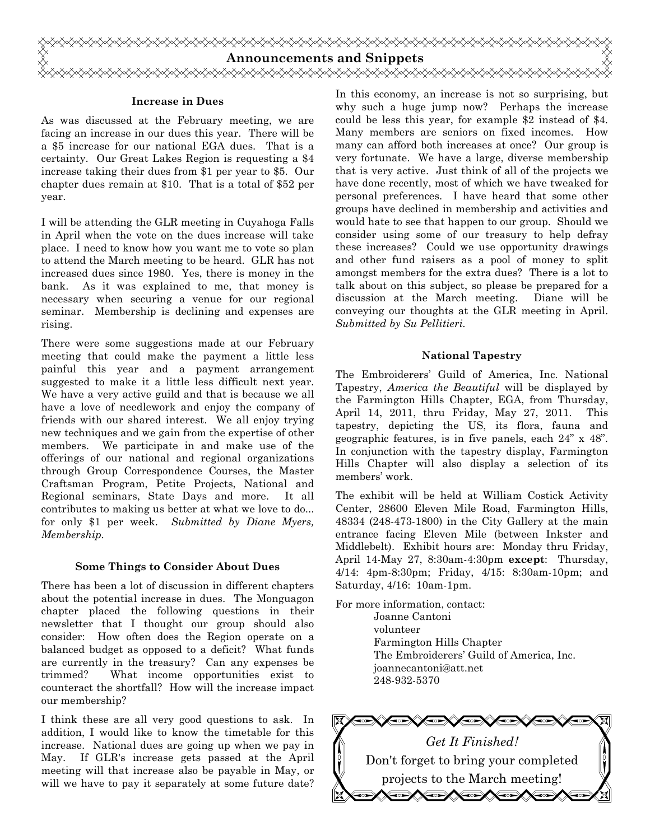

#### Increase in Dues

As was discussed at the February meeting, we are facing an increase in our dues this year. There will be a \$5 increase for our national EGA dues. That is a certainty. Our Great Lakes Region is requesting a \$4 increase taking their dues from \$1 per year to \$5. Our chapter dues remain at \$10. That is a total of \$52 per year.

I will be attending the GLR meeting in Cuyahoga Falls in April when the vote on the dues increase will take place. I need to know how you want me to vote so plan to attend the March meeting to be heard. GLR has not increased dues since 1980. Yes, there is money in the bank. As it was explained to me, that money is necessary when securing a venue for our regional seminar. Membership is declining and expenses are rising.

There were some suggestions made at our February meeting that could make the payment a little less painful this year and a payment arrangement suggested to make it a little less difficult next year. We have a very active guild and that is because we all have a love of needlework and enjoy the company of friends with our shared interest. We all enjoy trying new techniques and we gain from the expertise of other members. We participate in and make use of the offerings of our national and regional organizations through Group Correspondence Courses, the Master Craftsman Program, Petite Projects, National and Regional seminars, State Days and more. It all contributes to making us better at what we love to do... for only \$1 per week. Submitted by Diane Myers, Membership.

#### Some Things to Consider About Dues

There has been a lot of discussion in different chapters about the potential increase in dues. The Monguagon chapter placed the following questions in their newsletter that I thought our group should also consider: How often does the Region operate on a balanced budget as opposed to a deficit? What funds are currently in the treasury? Can any expenses be trimmed? What income opportunities exist to counteract the shortfall? How will the increase impact our membership?

I think these are all very good questions to ask. In addition, I would like to know the timetable for this increase. National dues are going up when we pay in May. If GLR's increase gets passed at the April meeting will that increase also be payable in May, or will we have to pay it separately at some future date?

In this economy, an increase is not so surprising, but why such a huge jump now? Perhaps the increase could be less this year, for example \$2 instead of \$4. Many members are seniors on fixed incomes. How many can afford both increases at once? Our group is very fortunate. We have a large, diverse membership that is very active. Just think of all of the projects we have done recently, most of which we have tweaked for personal preferences. I have heard that some other groups have declined in membership and activities and would hate to see that happen to our group. Should we consider using some of our treasury to help defray these increases? Could we use opportunity drawings and other fund raisers as a pool of money to split amongst members for the extra dues? There is a lot to talk about on this subject, so please be prepared for a discussion at the March meeting. Diane will be conveying our thoughts at the GLR meeting in April. Submitted by Su Pellitieri.

#### National Tapestry

The Embroiderers' Guild of America, Inc. National Tapestry, America the Beautiful will be displayed by the Farmington Hills Chapter, EGA, from Thursday, April 14, 2011, thru Friday, May 27, 2011. This tapestry, depicting the US, its flora, fauna and geographic features, is in five panels, each 24" x 48". In conjunction with the tapestry display, Farmington Hills Chapter will also display a selection of its members' work.

The exhibit will be held at William Costick Activity Center, 28600 Eleven Mile Road, Farmington Hills, 48334 (248-473-1800) in the City Gallery at the main entrance facing Eleven Mile (between Inkster and Middlebelt). Exhibit hours are: Monday thru Friday, April 14-May 27, 8:30am-4:30pm except: Thursday, 4/14: 4pm-8:30pm; Friday, 4/15: 8:30am-10pm; and Saturday, 4/16: 10am-1pm.

For more information, contact:

 Joanne Cantoni volunteer Farmington Hills Chapter The Embroiderers' Guild of America, Inc. joannecantoni@att.net 248-932-5370

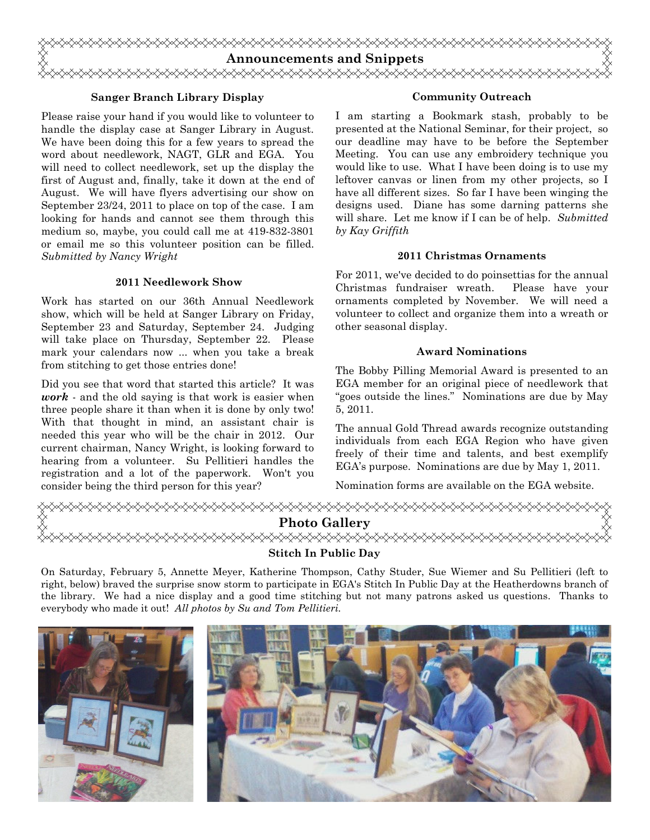

#### Sanger Branch Library Display

Please raise your hand if you would like to volunteer to handle the display case at Sanger Library in August. We have been doing this for a few years to spread the word about needlework, NAGT, GLR and EGA. You will need to collect needlework, set up the display the first of August and, finally, take it down at the end of August. We will have flyers advertising our show on September 23/24, 2011 to place on top of the case. I am looking for hands and cannot see them through this medium so, maybe, you could call me at 419-832-3801 or email me so this volunteer position can be filled. Submitted by Nancy Wright

#### 2011 Needlework Show

Work has started on our 36th Annual Needlework show, which will be held at Sanger Library on Friday, September 23 and Saturday, September 24. Judging will take place on Thursday, September 22. Please mark your calendars now ... when you take a break from stitching to get those entries done!

Did you see that word that started this article? It was *work*  $\cdot$  and the old saying is that work is easier when three people share it than when it is done by only two! With that thought in mind, an assistant chair is needed this year who will be the chair in 2012. Our current chairman, Nancy Wright, is looking forward to hearing from a volunteer. Su Pellitieri handles the registration and a lot of the paperwork. Won't you consider being the third person for this year?

#### Community Outreach

I am starting a Bookmark stash, probably to be presented at the National Seminar, for their project, so our deadline may have to be before the September Meeting. You can use any embroidery technique you would like to use. What I have been doing is to use my leftover canvas or linen from my other projects, so I have all different sizes. So far I have been winging the designs used. Diane has some darning patterns she will share. Let me know if I can be of help. Submitted by Kay Griffith

#### 2011 Christmas Ornaments

For 2011, we've decided to do poinsettias for the annual Christmas fundraiser wreath. Please have your ornaments completed by November. We will need a volunteer to collect and organize them into a wreath or other seasonal display.

#### Award Nominations

The Bobby Pilling Memorial Award is presented to an EGA member for an original piece of needlework that "goes outside the lines." Nominations are due by May 5, 2011.

The annual Gold Thread awards recognize outstanding individuals from each EGA Region who have given freely of their time and talents, and best exemplify EGA's purpose. Nominations are due by May 1, 2011.

Nomination forms are available on the EGA website.



## Stitch In Public Day

On Saturday, February 5, Annette Meyer, Katherine Thompson, Cathy Studer, Sue Wiemer and Su Pellitieri (left to right, below) braved the surprise snow storm to participate in EGA's Stitch In Public Day at the Heatherdowns branch of the library. We had a nice display and a good time stitching but not many patrons asked us questions. Thanks to everybody who made it out! All photos by Su and Tom Pellitieri.

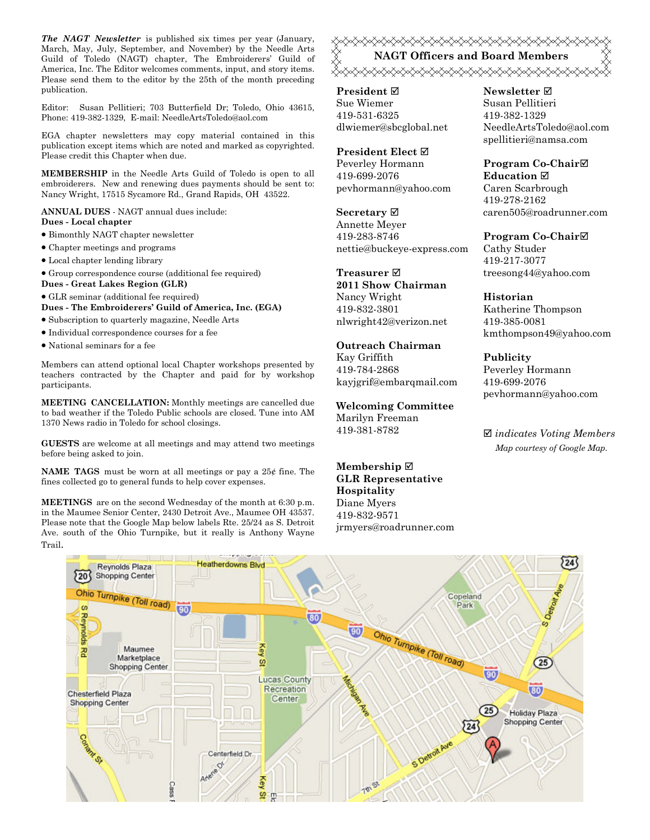The NAGT Newsletter is published six times per year (January, March, May, July, September, and November) by the Needle Arts Guild of Toledo (NAGT) chapter, The Embroiderers' Guild of America, Inc. The Editor welcomes comments, input, and story items. Please send them to the editor by the 25th of the month preceding publication.

Editor: Susan Pellitieri; 703 Butterfield Dr; Toledo, Ohio 43615, Phone: 419-382-1329, E-mail: NeedleArtsToledo@aol.com

EGA chapter newsletters may copy material contained in this publication except items which are noted and marked as copyrighted. Please credit this Chapter when due.

MEMBERSHIP in the Needle Arts Guild of Toledo is open to all embroiderers. New and renewing dues payments should be sent to: Nancy Wright, 17515 Sycamore Rd., Grand Rapids, OH 43522.

ANNUAL DUES - NAGT annual dues include:

- Dues Local chapter
- Bimonthly NAGT chapter newsletter
- Chapter meetings and programs
- Local chapter lending library
- Group correspondence course (additional fee required)
- Dues Great Lakes Region (GLR)

• GLR seminar (additional fee required)

- Dues The Embroiderers' Guild of America, Inc. (EGA)
- Subscription to quarterly magazine, Needle Arts
- Individual correspondence courses for a fee
- National seminars for a fee

Members can attend optional local Chapter workshops presented by teachers contracted by the Chapter and paid for by workshop participants.

MEETING CANCELLATION: Monthly meetings are cancelled due to bad weather if the Toledo Public schools are closed. Tune into AM 1370 News radio in Toledo for school closings.

GUESTS are welcome at all meetings and may attend two meetings before being asked to join.

NAME TAGS must be worn at all meetings or pay a 25¢ fine. The fines collected go to general funds to help cover expenses.

MEETINGS are on the second Wednesday of the month at 6:30 p.m. in the Maumee Senior Center, 2430 Detroit Ave., Maumee OH 43537. Please note that the Google Map below labels Rte. 25/24 as S. Detroit Ave. south of the Ohio Turnpike, but it really is Anthony Wayne Trail.

<del></del> NAGT Officers and Board Members <sub></sub><sub></sub>

President **⊠** Sue Wiemer 419-531-6325 dlwiemer@sbcglobal.net

President Elect Peverley Hormann 419-699-2076 pevhormann@yahoo.com

Secretary  $\boxtimes$ Annette Meyer 419-283-8746 nettie@buckeye-express.com

Treasurer **⊠** 2011 Show Chairman Nancy Wright 419-832-3801 nlwright42@verizon.net

#### Outreach Chairman

Kay Griffith 419-784-2868 kayjgrif@embarqmail.com

Welcoming Committee Marilyn Freeman 419-381-8782

Membership ⊠ GLR Representative Hospitality Diane Myers 419-832-9571 jrmyers@roadrunner.com Newsletter **Ø** Susan Pellitieri 419-382-1329 NeedleArtsToledo@aol.com spellitieri@namsa.com

Program Co-Chair **Education** ⊠ Caren Scarbrough 419-278-2162 caren505@roadrunner.com

Program Co-Chair Cathy Studer 419-217-3077 treesong44@yahoo.com

Historian Katherine Thompson 419-385-0081 kmthompson49@yahoo.com

Publicity Peverley Hormann 419-699-2076 pevhormann@yahoo.com

 $\boxtimes$  indicates Voting Members Map courtesy of Google Map.